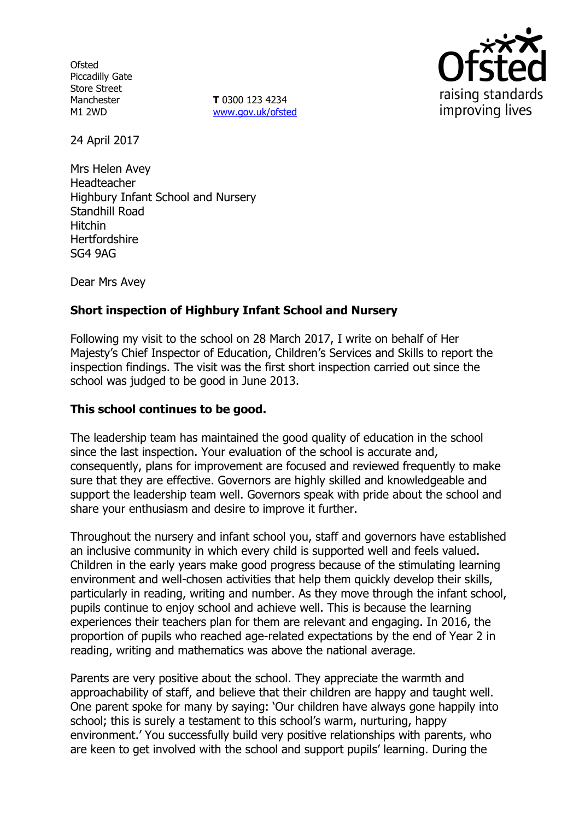**Ofsted** Piccadilly Gate Store Street Manchester M1 2WD

**T** 0300 123 4234 www.gov.uk/ofsted



24 April 2017

Mrs Helen Avey Headteacher Highbury Infant School and Nursery Standhill Road Hitchin **Hertfordshire** SG4 9AG

Dear Mrs Avey

# **Short inspection of Highbury Infant School and Nursery**

Following my visit to the school on 28 March 2017, I write on behalf of Her Majesty's Chief Inspector of Education, Children's Services and Skills to report the inspection findings. The visit was the first short inspection carried out since the school was judged to be good in June 2013.

### **This school continues to be good.**

The leadership team has maintained the good quality of education in the school since the last inspection. Your evaluation of the school is accurate and, consequently, plans for improvement are focused and reviewed frequently to make sure that they are effective. Governors are highly skilled and knowledgeable and support the leadership team well. Governors speak with pride about the school and share your enthusiasm and desire to improve it further.

Throughout the nursery and infant school you, staff and governors have established an inclusive community in which every child is supported well and feels valued. Children in the early years make good progress because of the stimulating learning environment and well-chosen activities that help them quickly develop their skills, particularly in reading, writing and number. As they move through the infant school, pupils continue to enjoy school and achieve well. This is because the learning experiences their teachers plan for them are relevant and engaging. In 2016, the proportion of pupils who reached age-related expectations by the end of Year 2 in reading, writing and mathematics was above the national average.

Parents are very positive about the school. They appreciate the warmth and approachability of staff, and believe that their children are happy and taught well. One parent spoke for many by saying: 'Our children have always gone happily into school; this is surely a testament to this school's warm, nurturing, happy environment.' You successfully build very positive relationships with parents, who are keen to get involved with the school and support pupils' learning. During the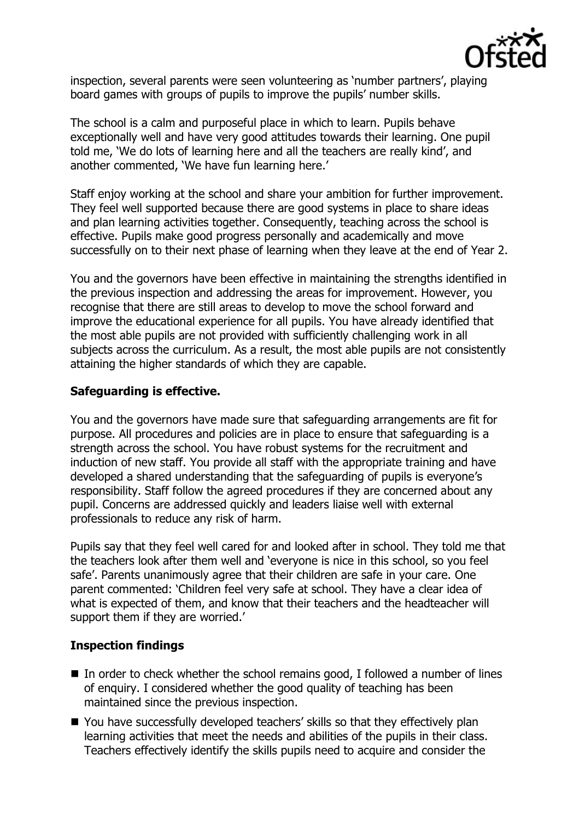

inspection, several parents were seen volunteering as 'number partners', playing board games with groups of pupils to improve the pupils' number skills.

The school is a calm and purposeful place in which to learn. Pupils behave exceptionally well and have very good attitudes towards their learning. One pupil told me, 'We do lots of learning here and all the teachers are really kind', and another commented, 'We have fun learning here.'

Staff enjoy working at the school and share your ambition for further improvement. They feel well supported because there are good systems in place to share ideas and plan learning activities together. Consequently, teaching across the school is effective. Pupils make good progress personally and academically and move successfully on to their next phase of learning when they leave at the end of Year 2.

You and the governors have been effective in maintaining the strengths identified in the previous inspection and addressing the areas for improvement. However, you recognise that there are still areas to develop to move the school forward and improve the educational experience for all pupils. You have already identified that the most able pupils are not provided with sufficiently challenging work in all subjects across the curriculum. As a result, the most able pupils are not consistently attaining the higher standards of which they are capable.

## **Safeguarding is effective.**

You and the governors have made sure that safeguarding arrangements are fit for purpose. All procedures and policies are in place to ensure that safeguarding is a strength across the school. You have robust systems for the recruitment and induction of new staff. You provide all staff with the appropriate training and have developed a shared understanding that the safeguarding of pupils is everyone's responsibility. Staff follow the agreed procedures if they are concerned about any pupil. Concerns are addressed quickly and leaders liaise well with external professionals to reduce any risk of harm.

Pupils say that they feel well cared for and looked after in school. They told me that the teachers look after them well and 'everyone is nice in this school, so you feel safe'. Parents unanimously agree that their children are safe in your care. One parent commented: 'Children feel very safe at school. They have a clear idea of what is expected of them, and know that their teachers and the headteacher will support them if they are worried.'

### **Inspection findings**

- $\blacksquare$  In order to check whether the school remains good, I followed a number of lines of enquiry. I considered whether the good quality of teaching has been maintained since the previous inspection.
- You have successfully developed teachers' skills so that they effectively plan learning activities that meet the needs and abilities of the pupils in their class. Teachers effectively identify the skills pupils need to acquire and consider the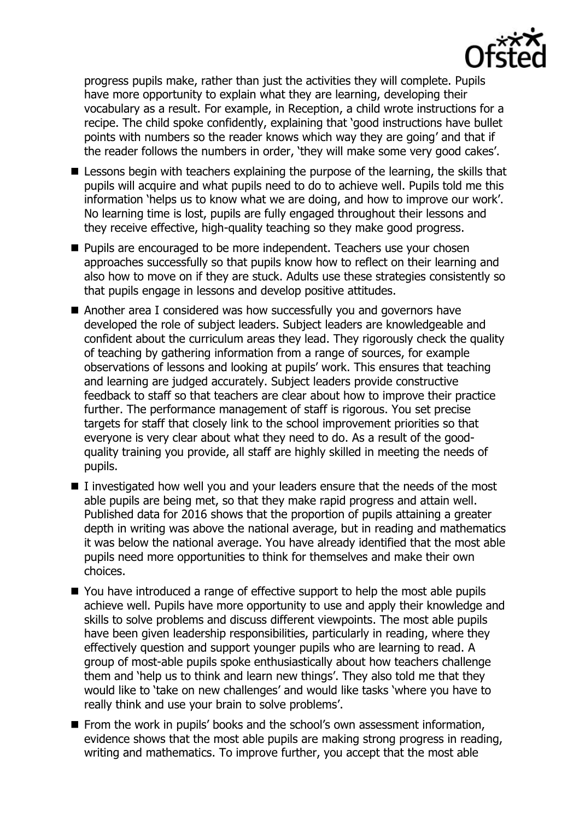

progress pupils make, rather than just the activities they will complete. Pupils have more opportunity to explain what they are learning, developing their vocabulary as a result. For example, in Reception, a child wrote instructions for a recipe. The child spoke confidently, explaining that 'good instructions have bullet points with numbers so the reader knows which way they are going' and that if the reader follows the numbers in order, 'they will make some very good cakes'.

- **E** Lessons begin with teachers explaining the purpose of the learning, the skills that pupils will acquire and what pupils need to do to achieve well. Pupils told me this information 'helps us to know what we are doing, and how to improve our work'. No learning time is lost, pupils are fully engaged throughout their lessons and they receive effective, high-quality teaching so they make good progress.
- **Pupils are encouraged to be more independent. Teachers use your chosen** approaches successfully so that pupils know how to reflect on their learning and also how to move on if they are stuck. Adults use these strategies consistently so that pupils engage in lessons and develop positive attitudes.
- Another area I considered was how successfully you and governors have developed the role of subject leaders. Subject leaders are knowledgeable and confident about the curriculum areas they lead. They rigorously check the quality of teaching by gathering information from a range of sources, for example observations of lessons and looking at pupils' work. This ensures that teaching and learning are judged accurately. Subject leaders provide constructive feedback to staff so that teachers are clear about how to improve their practice further. The performance management of staff is rigorous. You set precise targets for staff that closely link to the school improvement priorities so that everyone is very clear about what they need to do. As a result of the goodquality training you provide, all staff are highly skilled in meeting the needs of pupils.
- $\blacksquare$  I investigated how well you and your leaders ensure that the needs of the most able pupils are being met, so that they make rapid progress and attain well. Published data for 2016 shows that the proportion of pupils attaining a greater depth in writing was above the national average, but in reading and mathematics it was below the national average. You have already identified that the most able pupils need more opportunities to think for themselves and make their own choices.
- You have introduced a range of effective support to help the most able pupils achieve well. Pupils have more opportunity to use and apply their knowledge and skills to solve problems and discuss different viewpoints. The most able pupils have been given leadership responsibilities, particularly in reading, where they effectively question and support younger pupils who are learning to read. A group of most-able pupils spoke enthusiastically about how teachers challenge them and 'help us to think and learn new things'. They also told me that they would like to 'take on new challenges' and would like tasks 'where you have to really think and use your brain to solve problems'.
- **From the work in pupils' books and the school's own assessment information,** evidence shows that the most able pupils are making strong progress in reading, writing and mathematics. To improve further, you accept that the most able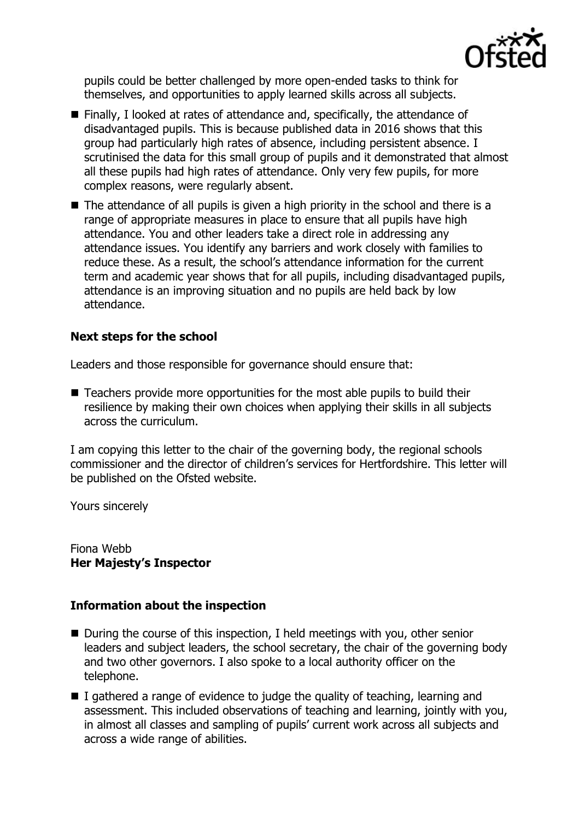

pupils could be better challenged by more open-ended tasks to think for themselves, and opportunities to apply learned skills across all subjects.

- Finally, I looked at rates of attendance and, specifically, the attendance of disadvantaged pupils. This is because published data in 2016 shows that this group had particularly high rates of absence, including persistent absence. I scrutinised the data for this small group of pupils and it demonstrated that almost all these pupils had high rates of attendance. Only very few pupils, for more complex reasons, were regularly absent.
- $\blacksquare$  The attendance of all pupils is given a high priority in the school and there is a range of appropriate measures in place to ensure that all pupils have high attendance. You and other leaders take a direct role in addressing any attendance issues. You identify any barriers and work closely with families to reduce these. As a result, the school's attendance information for the current term and academic year shows that for all pupils, including disadvantaged pupils, attendance is an improving situation and no pupils are held back by low attendance.

## **Next steps for the school**

Leaders and those responsible for governance should ensure that:

■ Teachers provide more opportunities for the most able pupils to build their resilience by making their own choices when applying their skills in all subjects across the curriculum.

I am copying this letter to the chair of the governing body, the regional schools commissioner and the director of children's services for Hertfordshire. This letter will be published on the Ofsted website.

Yours sincerely

Fiona Webb **Her Majesty's Inspector**

### **Information about the inspection**

- $\blacksquare$  During the course of this inspection, I held meetings with you, other senior leaders and subject leaders, the school secretary, the chair of the governing body and two other governors. I also spoke to a local authority officer on the telephone.
- $\blacksquare$  I gathered a range of evidence to judge the quality of teaching, learning and assessment. This included observations of teaching and learning, jointly with you, in almost all classes and sampling of pupils' current work across all subjects and across a wide range of abilities.